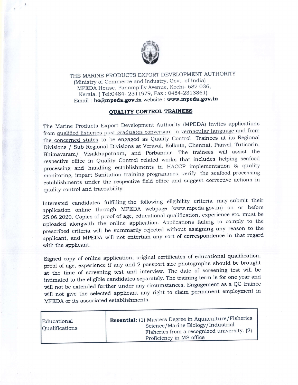

THE MARINE PRODUCTS EXPORT DEVELOPMENT AUTHORITY (Ministry of Commerce and Industry, Govt. of India) MPEDA House, Panampilly Avenue, Kochi- 682 036' Kerala. ( Tel:0484- 23II979, Fax : 0484-2313361) Email : ho@mpeda.gov.in website : www.mpeda.gov.in

## OUALITY CONTROL TRAINEES

The Marine Products Export Development Authority (MPEDA) invites applications from qualified fisheries post graduates conversant in vernacular language and from the concerned states to be engaged as Quality control Trainees at its Regional Divisions / Sub Regional Divisions at Veraval, Kolkata, Chennai, Panvel, Tuticorin, Bhimavaram/ visakhapatnam, and Porbandar. The trainees will assist the respective office in Quality Control related works that includes helping seafood processing and handling estabiishments in HACCP implementation & quality monitoring, impart Sanitation training programmes, verify the seafood processing establishments under the respective field office and suggest corrective actions in quality control and traceability.

Interested candidates fulfilling the following eligibility criteria may submit their application online through MPEDA webpage (www.mpeda.gov.in) on or before 25.06.2020. Copies of proof of age, educational qualification, experience etc. must be uploaded alongwith the online application. Appiications failing to comply to the prescribed criteria will be summarily rejected without assigning any reason to the applicant, and MPEDA will not entertain any sort of correspondence in that regard with the applicant.

Signed copy of online application, original certificates of educational qualification, proof of age, experience if any and 2 passport size photographs should be brought at the time of screening test and interview. The date of screening test will be intimated to the eligible candidates separately. The training term is for one year and will not be extended further under any circumstances. Engagement as a QC trainee will not give the selected applicant any right to claim perrnanent employment in MPEDA or its associated establishments.